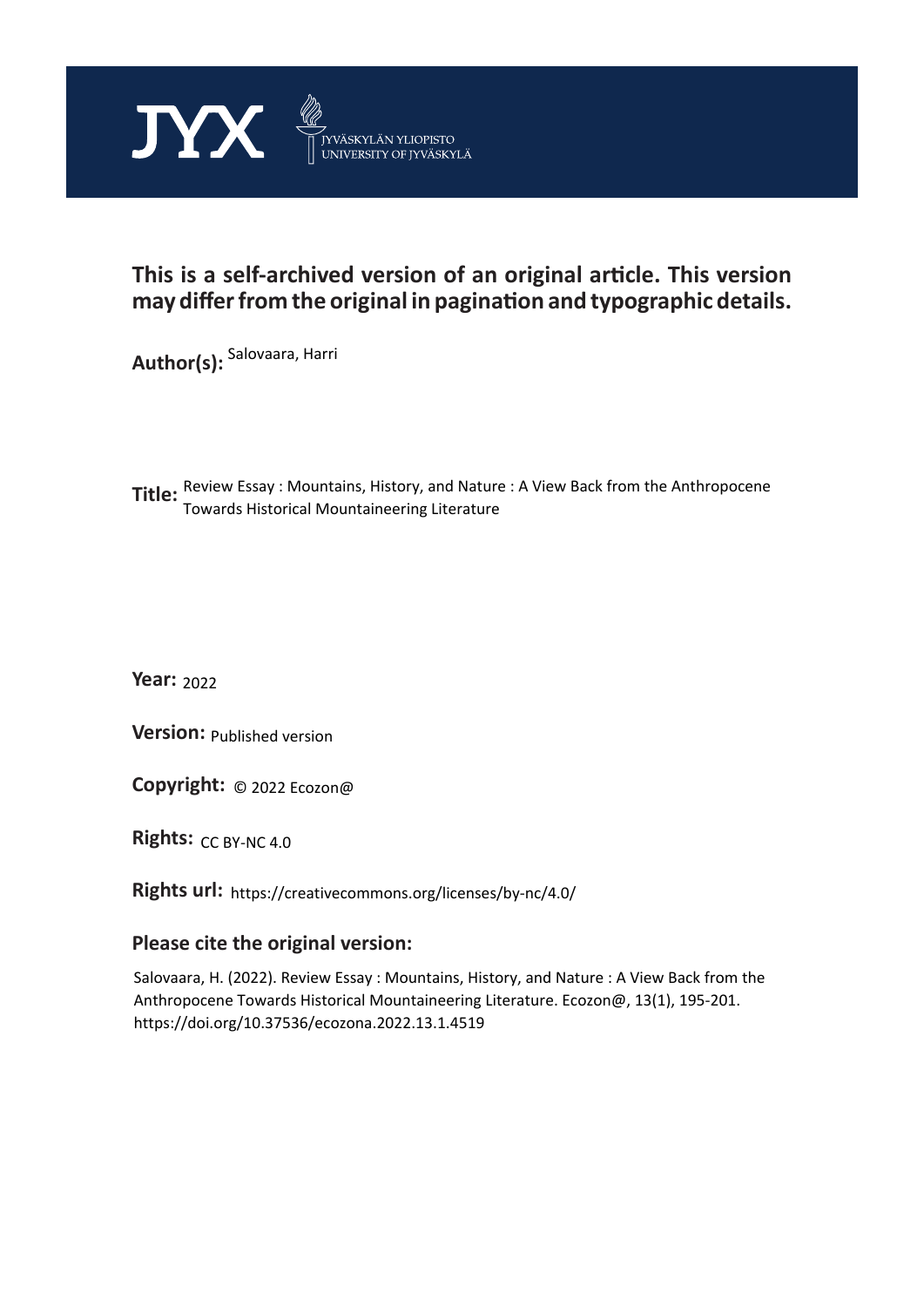

# **This is a self-archived version of an original article. This version may differ from the original in pagination and typographic details.**

**Author(s):**  Salovaara, Harri

**Title:**  Review Essay : Mountains, History, and Nature : A View Back from the Anthropocene Towards Historical Mountaineering Literature

**Year:**  2022

**Version: Published version** 

**Version:** Published version<br>**Copyright:** © 2022 Ecozon@

Rights: CC BY-NC 4.0

**Rights url:**  https://creativecommons.org/licenses/by-nc/4.0/

#### **Please cite the original version:**

Salovaara, H. (2022). Review Essay : Mountains, History, and Nature : A View Back from the Anthropocene Towards Historical Mountaineering Literature. Ecozon@, 13(1), 195-201. https://doi.org/10.37536/ecozona.2022.13.1.4519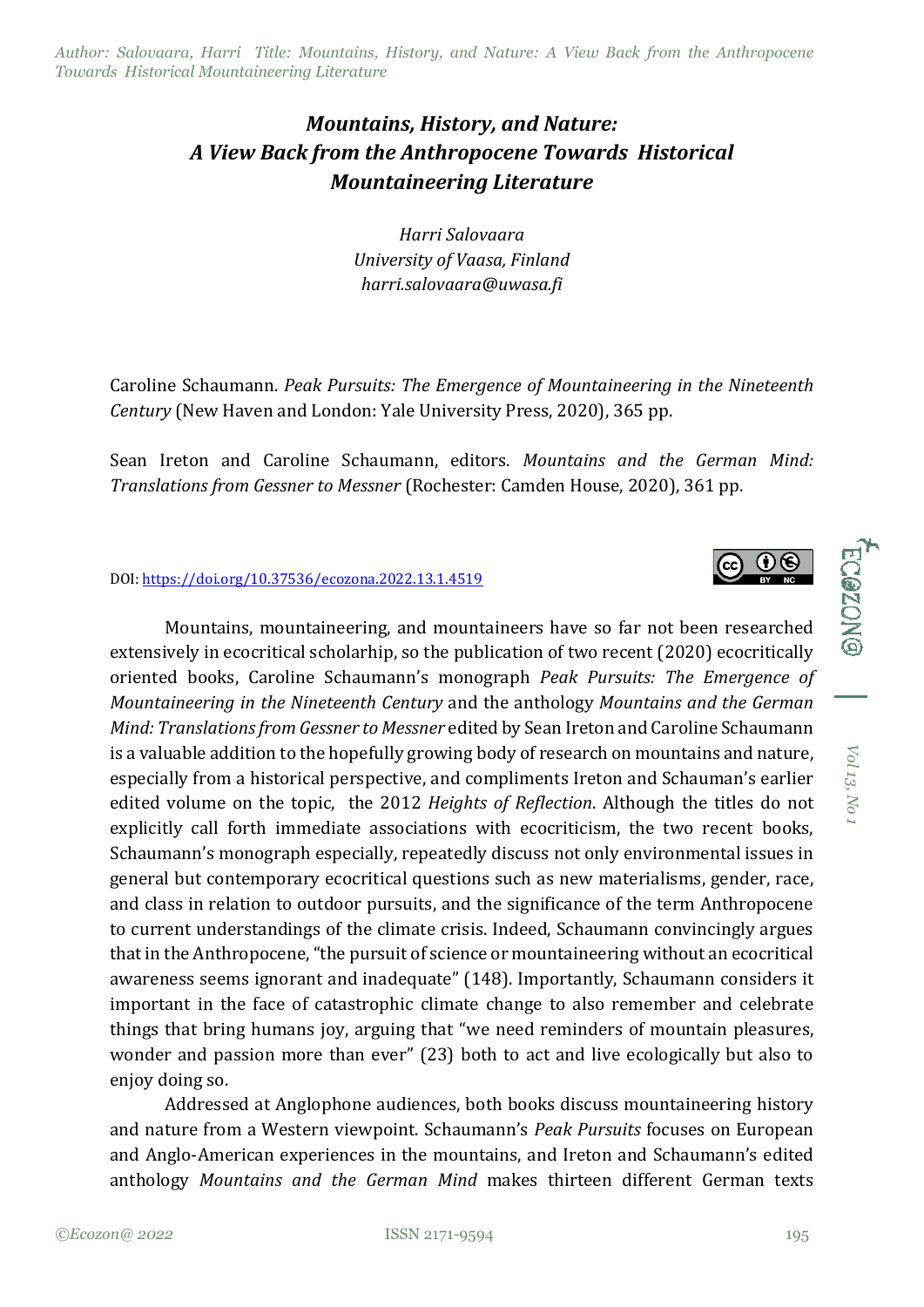*Author: Salovaara, Harri Title: Mountains, History, and Nature: A View Back from the Anthropocene Towards Historical Mountaineering Literature*

# *Mountains, History, and Nature: A View Back from the Anthropocene Towards Historical Mountaineering Literature*

*Harri Salovaara University of Vaasa, Finland harri.salovaara@uwasa.fi*

Caroline Schaumann. *Peak Pursuits: The Emergence of Mountaineering in the Nineteenth Century* (New Haven and London: Yale University Press, 2020), 365 pp.

Sean Ireton and Caroline Schaumann, editors. *Mountains and the German Mind: Translations from Gessner to Messner* (Rochester: Camden House, 2020), 361 pp.

#### DOI: [https://doi.org/10.37536/ecozona.2022.13.1.4519](https://doi.org/10.37536/ECOZONA.2022.13.1.4519)

Mountains, mountaineering, and mountaineers have so far not been researched extensively in ecocritical scholarhip, so the publication of two recent (2020) ecocritically oriented books, Caroline Schaumann's monograph *Peak Pursuits: The Emergence of Mountaineering in the Nineteenth Century* and the anthology *Mountains and the German Mind: Translations from Gessner to Messner* edited by Sean Ireton and Caroline Schaumann is a valuable addition to the hopefully growing body of research on mountains and nature, especially from a historical perspective, and compliments Ireton and Schauman's earlier edited volume on the topic, the 2012 *Heights of Reflection*. Although the titles do not explicitly call forth immediate associations with ecocriticism, the two recent books, Schaumann's monograph especially, repeatedly discuss not only environmental issues in general but contemporary ecocritical questions such as new materialisms, gender, race, and class in relation to outdoor pursuits, and the significance of the term Anthropocene to current understandings of the climate crisis. Indeed, Schaumann convincingly argues that in the Anthropocene, "the pursuit of science or mountaineering without an ecocritical awareness seems ignorant and inadequate" (148). Importantly, Schaumann considers it important in the face of catastrophic climate change to also remember and celebrate things that bring humans joy, arguing that "we need reminders of mountain pleasures, wonder and passion more than ever" (23) both to act and live ecologically but also to enjoy doing so.

Addressed at Anglophone audiences, both books discuss mountaineering history and nature from a Western viewpoint. Schaumann's *Peak Pursuits* focuses on European and Anglo-American experiences in the mountains, and Ireton and Schaumann's edited anthology *Mountains and the German Mind* makes thirteen different German texts



ECGZONG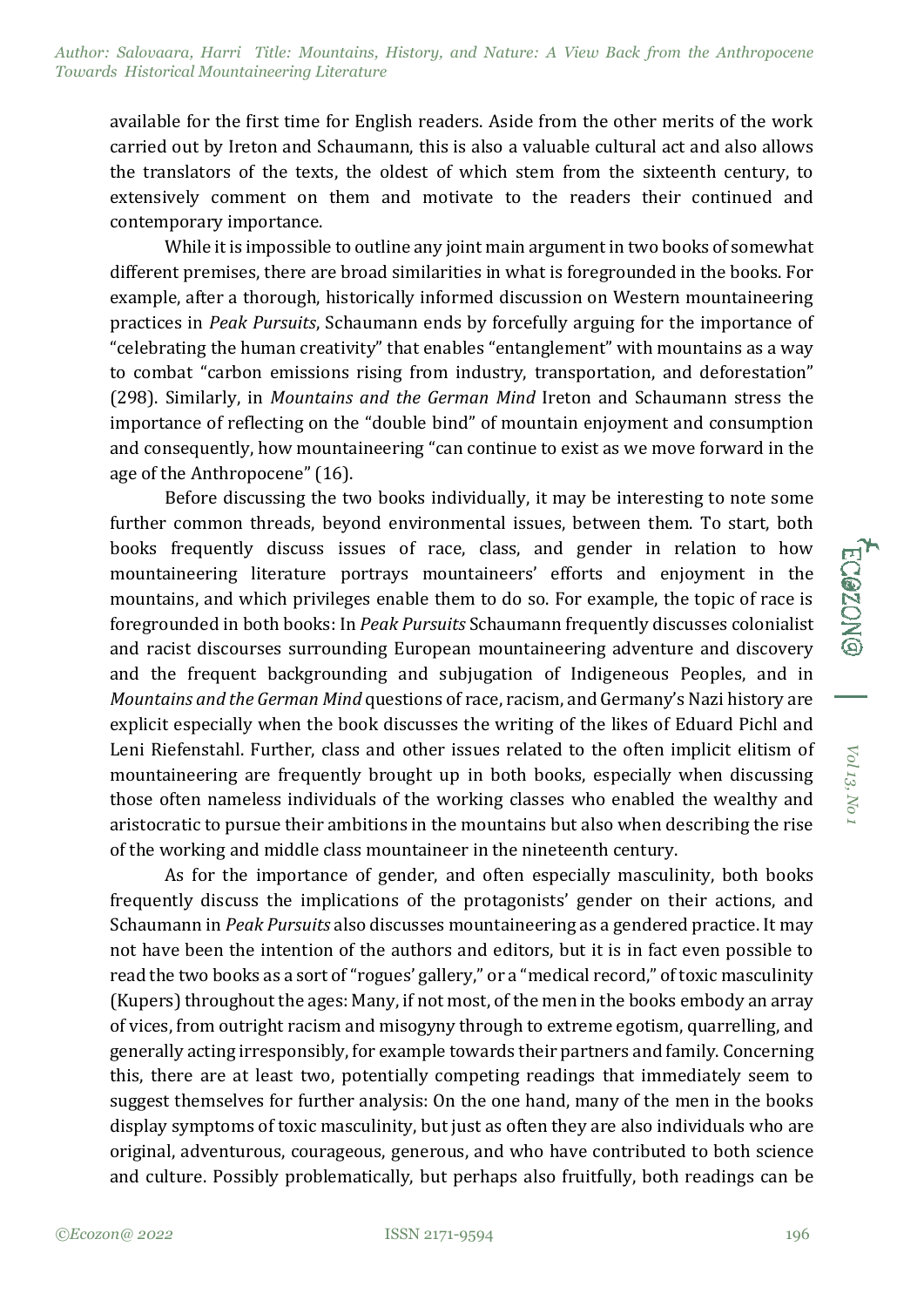available for the first time for English readers. Aside from the other merits of the work carried out by Ireton and Schaumann, this is also a valuable cultural act and also allows the translators of the texts, the oldest of which stem from the sixteenth century, to extensively comment on them and motivate to the readers their continued and contemporary importance.

While it is impossible to outline any joint main argument in two books of somewhat different premises, there are broad similarities in what is foregrounded in the books. For example, after a thorough, historically informed discussion on Western mountaineering practices in *Peak Pursuits*, Schaumann ends by forcefully arguing for the importance of "celebrating the human creativity" that enables "entanglement" with mountains as a way to combat "carbon emissions rising from industry, transportation, and deforestation" (298). Similarly, in *Mountains and the German Mind* Ireton and Schaumann stress the importance of reflecting on the "double bind" of mountain enjoyment and consumption and consequently, how mountaineering "can continue to exist as we move forward in the age of the Anthropocene" (16).

Before discussing the two books individually, it may be interesting to note some further common threads, beyond environmental issues, between them. To start, both books frequently discuss issues of race, class, and gender in relation to how mountaineering literature portrays mountaineers' efforts and enjoyment in the mountains, and which privileges enable them to do so. For example, the topic of race is foregrounded in both books: In *Peak Pursuits* Schaumann frequently discusses colonialist and racist discourses surrounding European mountaineering adventure and discovery and the frequent backgrounding and subjugation of Indigeneous Peoples, and in *Mountains and the German Mind* questions of race, racism, and Germany's Nazi history are explicit especially when the book discusses the writing of the likes of Eduard Pichl and Leni Riefenstahl. Further, class and other issues related to the often implicit elitism of mountaineering are frequently brought up in both books, especially when discussing those often nameless individuals of the working classes who enabled the wealthy and aristocratic to pursue their ambitions in the mountains but also when describing the rise of the working and middle class mountaineer in the nineteenth century.

As for the importance of gender, and often especially masculinity, both books frequently discuss the implications of the protagonists' gender on their actions, and Schaumann in *Peak Pursuits* also discusses mountaineering as a gendered practice. It may not have been the intention of the authors and editors, but it is in fact even possible to read the two books as a sort of "rogues' gallery," or a "medical record," of toxic masculinity (Kupers) throughout the ages: Many, if not most, of the men in the books embody an array of vices, from outright racism and misogyny through to extreme egotism, quarrelling, and generally acting irresponsibly, for example towards their partners and family. Concerning this, there are at least two, potentially competing readings that immediately seem to suggest themselves for further analysis: On the one hand, many of the men in the books display symptoms of toxic masculinity, but just as often they are also individuals who are original, adventurous, courageous, generous, and who have contributed to both science and culture. Possibly problematically, but perhaps also fruitfully, both readings can be

*Vol 13,*

*No 1*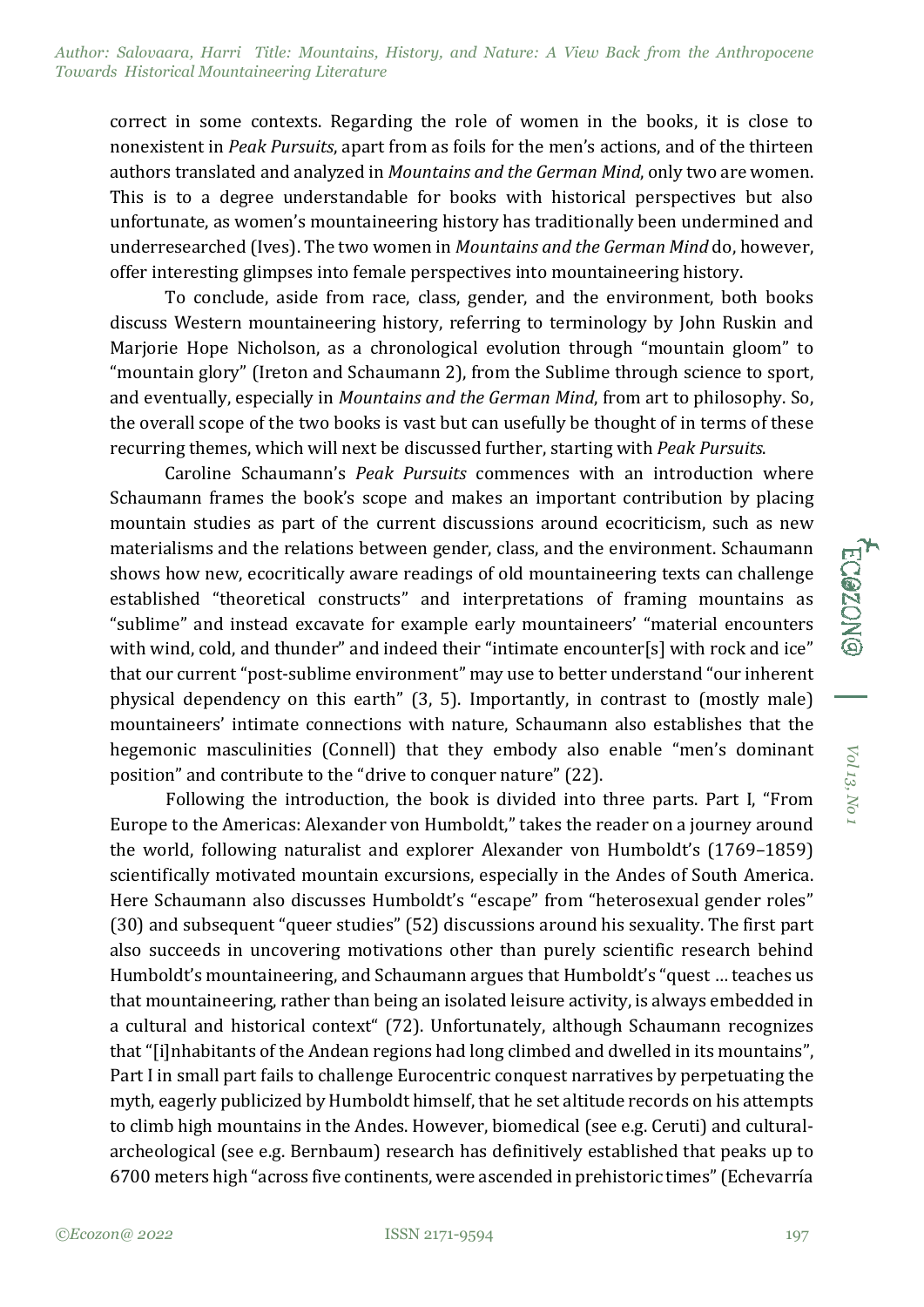*Author: Salovaara, Harri Title: Mountains, History, and Nature: A View Back from the Anthropocene Towards Historical Mountaineering Literature*

correct in some contexts. Regarding the role of women in the books, it is close to nonexistent in *Peak Pursuits*, apart from as foils for the men's actions, and of the thirteen authors translated and analyzed in *Mountains and the German Mind*, only two are women. This is to a degree understandable for books with historical perspectives but also unfortunate, as women's mountaineering history has traditionally been undermined and underresearched (Ives). The two women in *Mountains and the German Mind* do, however, offer interesting glimpses into female perspectives into mountaineering history.

To conclude, aside from race, class, gender, and the environment, both books discuss Western mountaineering history, referring to terminology by John Ruskin and Marjorie Hope Nicholson, as a chronological evolution through "mountain gloom" to "mountain glory" (Ireton and Schaumann 2), from the Sublime through science to sport, and eventually, especially in *Mountains and the German Mind*, from art to philosophy. So, the overall scope of the two books is vast but can usefully be thought of in terms of these recurring themes, which will next be discussed further, starting with *Peak Pursuits*.

Caroline Schaumann's *Peak Pursuits* commences with an introduction where Schaumann frames the book's scope and makes an important contribution by placing mountain studies as part of the current discussions around ecocriticism, such as new materialisms and the relations between gender, class, and the environment. Schaumann shows how new, ecocritically aware readings of old mountaineering texts can challenge established "theoretical constructs" and interpretations of framing mountains as "sublime" and instead excavate for example early mountaineers' "material encounters with wind, cold, and thunder" and indeed their "intimate encounter[s] with rock and ice" that our current "post-sublime environment" may use to better understand "our inherent physical dependency on this earth" (3, 5). Importantly, in contrast to (mostly male) mountaineers' intimate connections with nature, Schaumann also establishes that the hegemonic masculinities (Connell) that they embody also enable "men's dominant position" and contribute to the "drive to conquer nature" (22).

Following the introduction, the book is divided into three parts. Part I, "From Europe to the Americas: Alexander von Humboldt," takes the reader on a journey around the world, following naturalist and explorer Alexander von Humboldt's (1769–1859) scientifically motivated mountain excursions, especially in the Andes of South America. Here Schaumann also discusses Humboldt's "escape" from "heterosexual gender roles" (30) and subsequent "queer studies" (52) discussions around his sexuality. The first part also succeeds in uncovering motivations other than purely scientific research behind Humboldt's mountaineering, and Schaumann argues that Humboldt's "quest … teaches us that mountaineering, rather than being an isolated leisure activity, is always embedded in a cultural and historical context" (72). Unfortunately, although Schaumann recognizes that "[i]nhabitants of the Andean regions had long climbed and dwelled in its mountains", Part I in small part fails to challenge Eurocentric conquest narratives by perpetuating the myth, eagerly publicized by Humboldt himself, that he set altitude records on his attempts to climb high mountains in the Andes. However, biomedical (see e.g. Ceruti) and culturalarcheological (see e.g. Bernbaum) research has definitively established that peaks up to 6700 meters high "across five continents, were ascended in prehistoric times" (Echevarría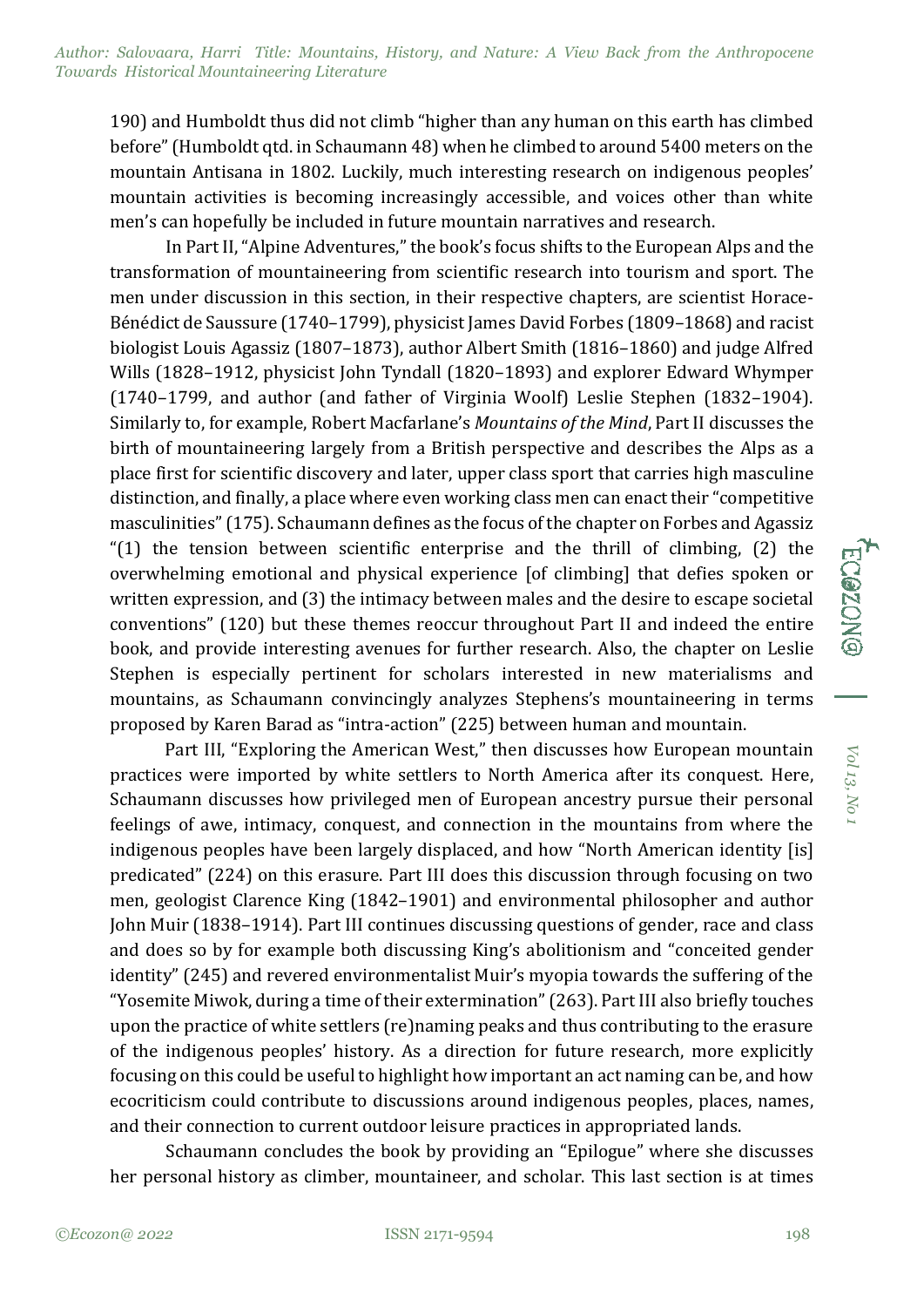190) and Humboldt thus did not climb "higher than any human on this earth has climbed before" (Humboldt qtd. in Schaumann 48) when he climbed to around 5400 meters on the mountain Antisana in 1802. Luckily, much interesting research on indigenous peoples' mountain activities is becoming increasingly accessible, and voices other than white men's can hopefully be included in future mountain narratives and research.

In Part II, "Alpine Adventures," the book's focus shifts to the European Alps and the transformation of mountaineering from scientific research into tourism and sport. The men under discussion in this section, in their respective chapters, are scientist Horace-Bénédict de Saussure (1740–1799), physicist James David Forbes (1809–1868) and racist biologist Louis Agassiz (1807–1873), author Albert Smith (1816–1860) and judge Alfred Wills (1828–1912, physicist John Tyndall (1820–1893) and explorer Edward Whymper (1740–1799, and author (and father of Virginia Woolf) Leslie Stephen (1832–1904). Similarly to, for example, Robert Macfarlane's *Mountains of the Mind*, Part II discusses the birth of mountaineering largely from a British perspective and describes the Alps as a place first for scientific discovery and later, upper class sport that carries high masculine distinction, and finally, a place where even working class men can enact their "competitive masculinities" (175). Schaumann defines as the focus of the chapter on Forbes and Agassiz " $(1)$  the tension between scientific enterprise and the thrill of climbing,  $(2)$  the overwhelming emotional and physical experience [of climbing] that defies spoken or written expression, and (3) the intimacy between males and the desire to escape societal conventions" (120) but these themes reoccur throughout Part II and indeed the entire book, and provide interesting avenues for further research. Also, the chapter on Leslie Stephen is especially pertinent for scholars interested in new materialisms and mountains, as Schaumann convincingly analyzes Stephens's mountaineering in terms proposed by Karen Barad as "intra-action" (225) between human and mountain.

Part III, "Exploring the American West," then discusses how European mountain practices were imported by white settlers to North America after its conquest. Here, Schaumann discusses how privileged men of European ancestry pursue their personal feelings of awe, intimacy, conquest, and connection in the mountains from where the indigenous peoples have been largely displaced, and how "North American identity [is] predicated" (224) on this erasure. Part III does this discussion through focusing on two men, geologist Clarence King (1842–1901) and environmental philosopher and author John Muir (1838–1914). Part III continues discussing questions of gender, race and class and does so by for example both discussing King's abolitionism and "conceited gender identity" (245) and revered environmentalist Muir's myopia towards the suffering of the "Yosemite Miwok, during a time of their extermination" (263). Part III also briefly touches upon the practice of white settlers (re)naming peaks and thus contributing to the erasure of the indigenous peoples' history. As a direction for future research, more explicitly focusing on this could be useful to highlight how important an act naming can be, and how ecocriticism could contribute to discussions around indigenous peoples, places, names, and their connection to current outdoor leisure practices in appropriated lands.

Schaumann concludes the book by providing an "Epilogue" where she discusses her personal history as climber, mountaineer, and scholar. This last section is at times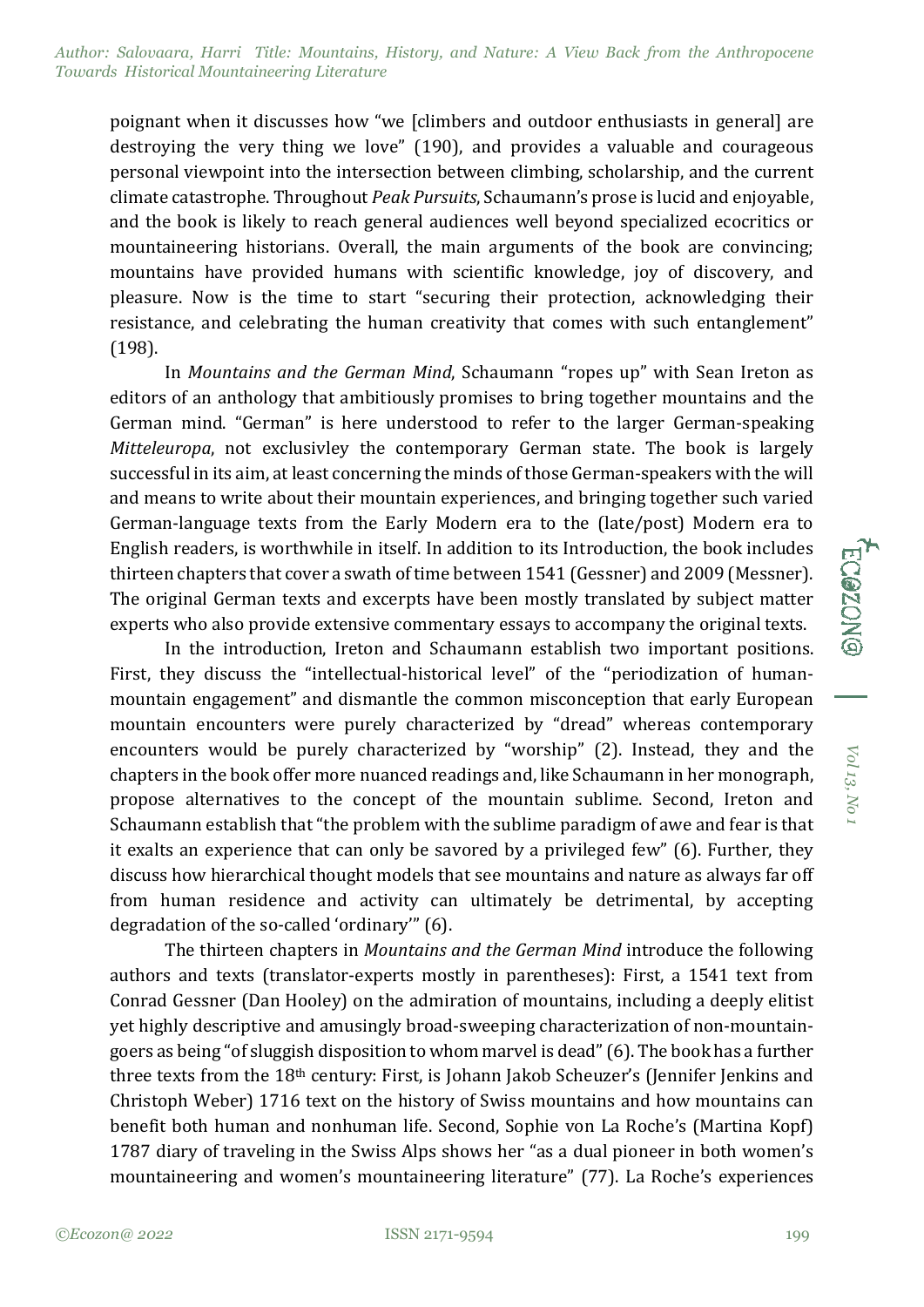poignant when it discusses how "we [climbers and outdoor enthusiasts in general] are destroying the very thing we love" (190), and provides a valuable and courageous personal viewpoint into the intersection between climbing, scholarship, and the current climate catastrophe. Throughout *Peak Pursuits*, Schaumann's prose is lucid and enjoyable, and the book is likely to reach general audiences well beyond specialized ecocritics or mountaineering historians. Overall, the main arguments of the book are convincing; mountains have provided humans with scientific knowledge, joy of discovery, and pleasure. Now is the time to start "securing their protection, acknowledging their resistance, and celebrating the human creativity that comes with such entanglement" (198).

In *Mountains and the German Mind*, Schaumann "ropes up" with Sean Ireton as editors of an anthology that ambitiously promises to bring together mountains and the German mind. "German" is here understood to refer to the larger German-speaking *Mitteleuropa*, not exclusivley the contemporary German state. The book is largely successful in its aim, at least concerning the minds of those German-speakers with the will and means to write about their mountain experiences, and bringing together such varied German-language texts from the Early Modern era to the (late/post) Modern era to English readers, is worthwhile in itself. In addition to its Introduction, the book includes thirteen chapters that cover a swath of time between 1541 (Gessner) and 2009 (Messner). The original German texts and excerpts have been mostly translated by subject matter experts who also provide extensive commentary essays to accompany the original texts.

In the introduction, Ireton and Schaumann establish two important positions. First, they discuss the "intellectual-historical level" of the "periodization of humanmountain engagement" and dismantle the common misconception that early European mountain encounters were purely characterized by "dread" whereas contemporary encounters would be purely characterized by "worship" (2). Instead, they and the chapters in the book offer more nuanced readings and, like Schaumann in her monograph, propose alternatives to the concept of the mountain sublime. Second, Ireton and Schaumann establish that "the problem with the sublime paradigm of awe and fear is that it exalts an experience that can only be savored by a privileged few" (6). Further, they discuss how hierarchical thought models that see mountains and nature as always far off from human residence and activity can ultimately be detrimental, by accepting degradation of the so-called 'ordinary'" (6).

The thirteen chapters in *Mountains and the German Mind* introduce the following authors and texts (translator-experts mostly in parentheses): First, a 1541 text from Conrad Gessner (Dan Hooley) on the admiration of mountains, including a deeply elitist yet highly descriptive and amusingly broad-sweeping characterization of non-mountaingoers as being "of sluggish disposition to whom marvel is dead" (6). The book has a further three texts from the 18th century: First, is Johann Jakob Scheuzer's (Jennifer Jenkins and Christoph Weber) 1716 text on the history of Swiss mountains and how mountains can benefit both human and nonhuman life. Second, Sophie von La Roche's (Martina Kopf) 1787 diary of traveling in the Swiss Alps shows her "as a dual pioneer in both women's mountaineering and women's mountaineering literature" (77). La Roche's experiences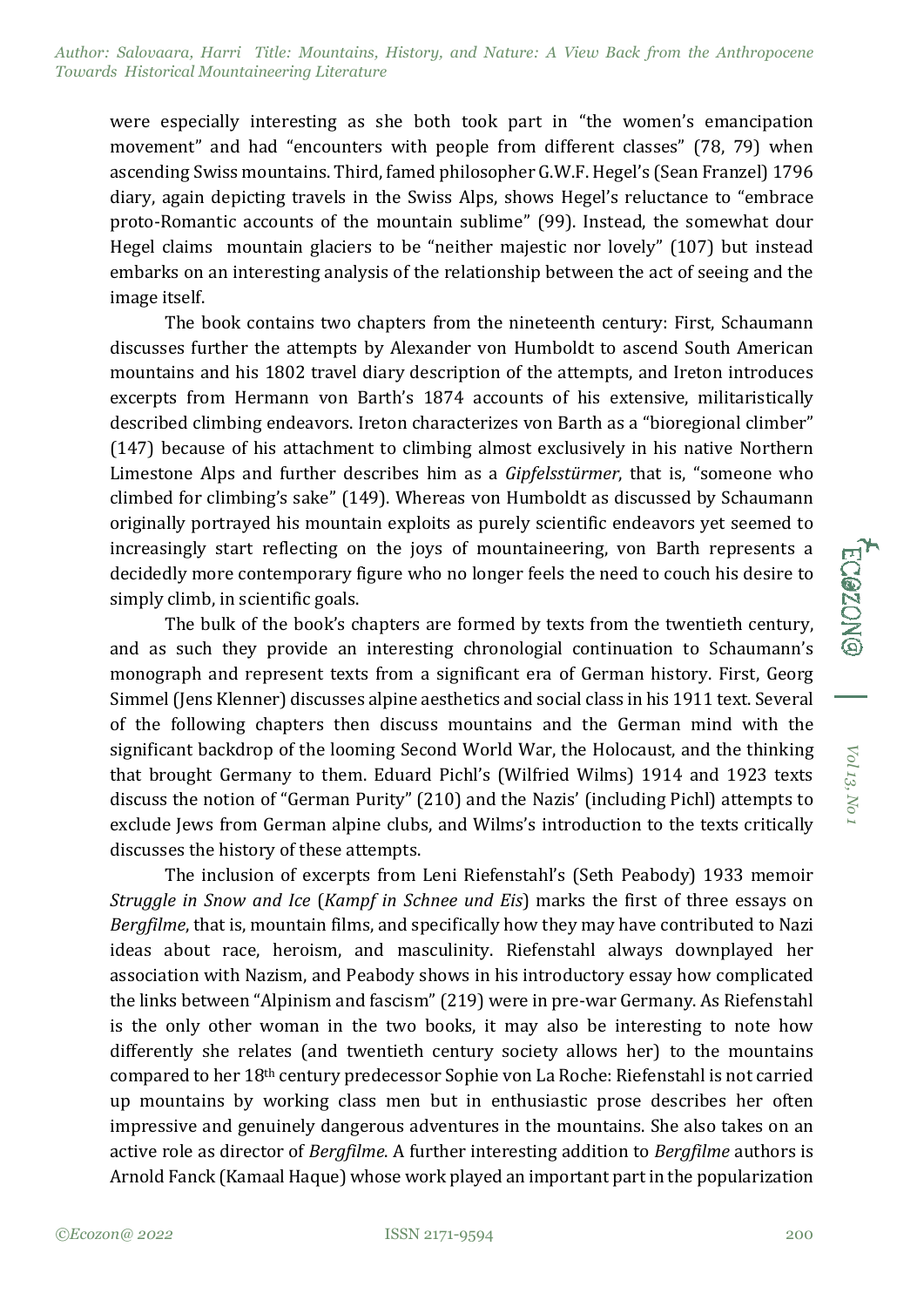were especially interesting as she both took part in "the women's emancipation movement" and had "encounters with people from different classes" (78, 79) when ascending Swiss mountains. Third, famed philosopher G.W.F. Hegel's (Sean Franzel) 1796 diary, again depicting travels in the Swiss Alps, shows Hegel's reluctance to "embrace proto-Romantic accounts of the mountain sublime" (99). Instead, the somewhat dour Hegel claims mountain glaciers to be "neither majestic nor lovely" (107) but instead embarks on an interesting analysis of the relationship between the act of seeing and the image itself.

The book contains two chapters from the nineteenth century: First, Schaumann discusses further the attempts by Alexander von Humboldt to ascend South American mountains and his 1802 travel diary description of the attempts, and Ireton introduces excerpts from Hermann von Barth's 1874 accounts of his extensive, militaristically described climbing endeavors. Ireton characterizes von Barth as a "bioregional climber" (147) because of his attachment to climbing almost exclusively in his native Northern Limestone Alps and further describes him as a *Gipfelsstürmer*, that is, "someone who climbed for climbing's sake" (149). Whereas von Humboldt as discussed by Schaumann originally portrayed his mountain exploits as purely scientific endeavors yet seemed to increasingly start reflecting on the joys of mountaineering, von Barth represents a decidedly more contemporary figure who no longer feels the need to couch his desire to simply climb, in scientific goals.

The bulk of the book's chapters are formed by texts from the twentieth century, and as such they provide an interesting chronologial continuation to Schaumann's monograph and represent texts from a significant era of German history. First, Georg Simmel (Jens Klenner) discusses alpine aesthetics and social class in his 1911 text. Several of the following chapters then discuss mountains and the German mind with the significant backdrop of the looming Second World War, the Holocaust, and the thinking that brought Germany to them. Eduard Pichl's (Wilfried Wilms) 1914 and 1923 texts discuss the notion of "German Purity" (210) and the Nazis' (including Pichl) attempts to exclude Jews from German alpine clubs, and Wilms's introduction to the texts critically discusses the history of these attempts.

The inclusion of excerpts from Leni Riefenstahl's (Seth Peabody) 1933 memoir *Struggle in Snow and Ice* (*Kampf in Schnee und Eis*) marks the first of three essays on *Bergfilme*, that is, mountain films, and specifically how they may have contributed to Nazi ideas about race, heroism, and masculinity. Riefenstahl always downplayed her association with Nazism, and Peabody shows in his introductory essay how complicated the links between "Alpinism and fascism" (219) were in pre-war Germany. As Riefenstahl is the only other woman in the two books, it may also be interesting to note how differently she relates (and twentieth century society allows her) to the mountains compared to her 18th century predecessor Sophie von La Roche: Riefenstahl is not carried up mountains by working class men but in enthusiastic prose describes her often impressive and genuinely dangerous adventures in the mountains. She also takes on an active role as director of *Bergfilme*. A further interesting addition to *Bergfilme* authors is Arnold Fanck (Kamaal Haque) whose work played an important part in the popularization